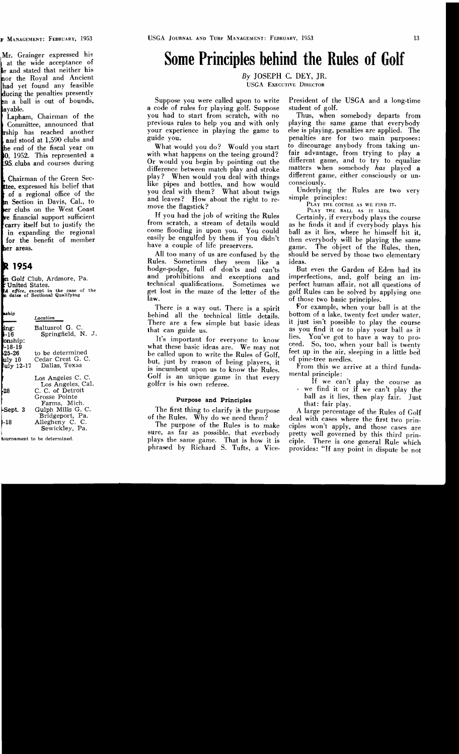# **Some Principles behind the Rules of Golf**

*By* JOSEPH c. DEY, JR. USGA EXECUTIVE DIRECTOR

a code of rules for playing golf. Suppose student of golf. you had to start from scratch, with no previous rules to help you and with only playing the same game that everybody your experience in playing the game to else is playing, penalties are applied. The guide you. penalties are for two main purposes:

with what happens on the teeing ground? fair advantage, from trying to play a<br>Or would you begin by pointing out the different game, and to try to equalize Or would you begin by pointing out the different game, and to try to equalize difference between match play and stroke matters when somebody has played a difference between match play and stroke matters when somebody *has* played a play? When would you deal with things different game.<br>like pipes and bottles, and how would consciously. like pipes and bottles, and how would consciously. you deal with them? What about twigs Underlying the Rules are two very and leaves? How about the right to re-<br>
move the flagstick?<br>
How had the job of writing the Rules<br>
PLAY THE BALL AS IT LIES.<br>
Certainly if everybody plays the

If you had the job of writing the Rules<br>from scratch, a stream of details would<br>some flooding in upon you. You could<br>ball as it lies, where he himself hit it,<br>easily be engulfed by them if you didn't<br>then everybody will be

Rules. Sometimes they seem like a ideas. hodge-podge, full of don'ts and can'ts But even the Garden of Eden had its and prohibitions and exceptions and imperfections, and, golf being an imand prohibitions and exceptions and<br>technical qualifications. Sometimes we

behind all the technical little details. bottom of a lake, twenty feet under water,<br>There are a few simple but basic ideas it just isn't possible to play the course There are a few simple but basic ideas that can guide us. The cancer of the same as you find it or to play your ball as it

what these basic ideas are. We may not the so, too, when your ball is twenty be called upon to write the Rules of Golf,  $\begin{array}{c} \text{treea.} \\ \text{et} \end{array}$  be called upon to write the Rules of Golf. feet upon to write the rules of Golf, of pine-tree needles.<br>but, just by reason of being players, it from this we arrive at a third funda-<br>is incumbent upon us to know the Rules. Golf is an unique game in that every mental principle:<br>golfer is his own referee.<br>we find it or if we can't play the course as<br>we find it or if we can't play the

The first thing to clarify is the purpose

Suppose you were called upon to write President of the USGA and a long-time

What would you do? Would you start to discourage anybody from taking un-<br>th what hannens on the teeing ground? fair advantage, from trying to play a

have a couple of life preservers. game. The object of the Rules, then,<br>All too many of us are confused by the should be served by those two elementary should be served by those two elementary

perfect human affair, not all questions of get lost in the maze of the letter of the golf Rules can be solved by applying one law.<br>
of those two basic principles.<br>
There is a way out. There is a spirit For example, when your ball is at the

There is a way out. There is a spirit For example, when your ball is at the hind all the technical little details, bottom of a lake, twenty feet under water, It's important for everyone to know lies. You've got to have a way to pro-<br>liet these basic ideas are We may not ceed. So, too, when your ball is twenty

**Purpose and Principles ball as it lies, then play fair.** Just that: fair play.

 A large percentage of the Rules of Golf of the Rules. Why do we need them? deal with cases where the first two prin-<br>The purpose of the Rules is to make ciples won't apply, and those cases are<br>sure, as far as possible, that everbody pretty well governed by this provides: "If any point in dispute be not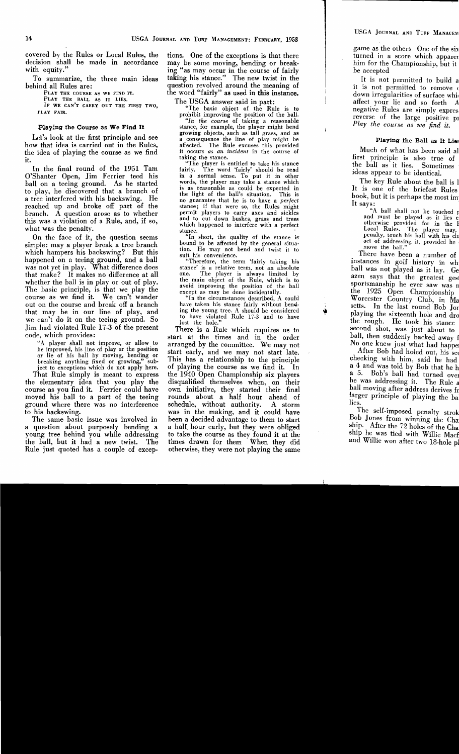covered by the Rules or Local Rules, the tions. One of the exceptions is that there decision shall be made in accordance may be some moving, bending or breakdecision shall be made in accordance may be some moving, bending or break-<br>with equity."<br>with equity."

PLAY THE GOURSE AS WE FIND IT. The Word "fairly" as used in this instance.<br>
PLAY THE GOURSE AS IT LIES. The USGA answer said in part:<br>
IF WE CAN'T CARRY OUT THE FIRST TWO,<br>
PLAY FAIR. The basic object of the Rule is to<br>
pr

how that idea is carried out in the Rules, affected. The Rule excuses this provided the idea of playing the course as we find it occurs *as an incident* in the course of

In the final round of the 1951 Tam fairly. The word 'fairly' should be read<br>Shanter Open, Jim Ferrier teed his in a normal sense. To put it in other O'Shanter Open, Jim Ferrier teed his in a normal sense. To put it in other<br>hall on a teeing ground. As he started words, the player may take a stance which ball on a teeing ground. As he started words, the player may take a stance which ball on a teeing ground that a hennah of is as reasonable as could be expected in to play, he discovered that a branch of the light of the ball's situation. This is a tree interfered with his backswing. He no guarantee that he is to have a *perfect* reached up and broke off part of the stance; if that w reached up and broke off part of the stance; if that were so, the Rules might branch. A question arose as to whether permit players to carry axes and sickles branch. A question arose as to whether permit players to carry axes and sickles

On the face of it, the question seems "In short, the quality of the stance is<br>  $\frac{1}{2}$  in short, the quality of the stance is<br>  $\frac{1}{2}$  bound to be affected by the general situasimple: may a player break a tree branch<br>which hampers his backswing? But this  $\frac{\text{t}}{\text{t}}$  the may not bend and twist it to the may not be may not be the may not be may not and teeing ground, and a ball was not yet in play. What difference does stance' is a relative term, not an absolute was not yet in play. What difference does stance' is a relative term, not an absolute that make? It makes no difference at all one. The player is always limited by that make? It makes no difference at all one. The player is always limited by<br>whother the hall is in play or out of play the main object of the Rule, which is to whether the ball is in play or out of play.<br>
The basic principle, is that we play the<br>
course as we find it. We can't wander<br>
out on the course and break off a branch<br>
the streep is may be done incidentally.<br>
"In the circu out on the course and break off a branch have taken his stance fairly without bend-<br>that may be in our line of play, and ing the young tree. A should be considered that may be in our line of play, and ing the young tree. A should be considered that may be in our line of play, and that have violated Rule 17-3 and to have we can't do it on the teeing ground. So lost the hole."<br>Jim had violated Rule 17-3 of the present There is a Ru

ject to exceptions which do not apply here.

the elementary idea that you play the course as you find it. Ferrier could have own initiative, they started their final moved his ball to a part of the teeing ground where there was no interference schedule, without authority. A storm

a question about purposely bending a a half. hour early, but they were obliged young tree behind you while addressing to take the course as they found it at the the ball, but it had a new twist. The times drawn for them When they did Rule just quoted has a couple of excep- otherwise, they were not playing the same

ing "as may occur in the course of fairly To summarize, the three main ideas taking his stance." The new twist in the behind all Rules are: question revolved around the meaning of

*"In the course* of taking a reasonable **Playing the Course as We Find It** stance, for example, the player might bend growing objects, such as tall grass, and as Let's look at the first principle and see a consequence the line of play might be

it.<br>In the final round of the 1951 Tam "The player is entitled to take his stance<br>"The word 'fairly' should be read this was a violation of a Rule, and, if so, and to cut down bushes, grass and trees what was the penalty.<br>
On the face of it, the question seems "In short, the quality of the stance is

 $\mathbf{r}$  $+$ 

Jim had violated Rule 17-3 of the present There is a Rule which requires us to code, which provides: e, which provides:<br>"A player shall not improve, or allow to arranged by the committee. We may not A player shall not improve, or allow to arranged by the committee. We may not be improved, his line of play or the position start early and we may not start late be improved, his line of play or the position start early, and we may not start late.<br>or lie of his ball by moving, bending or start early, and we may not start late.<br>breaking anything fixed or growing," sub-This has a relationship to the principle<br>of playing the course as we find it. In That Rule simply is meant to express the 1940 Open Championship six players to his backswing. was in the making, and it could have The same basic issue was involved in been a decided advantage to them to start The times drawn for them When they did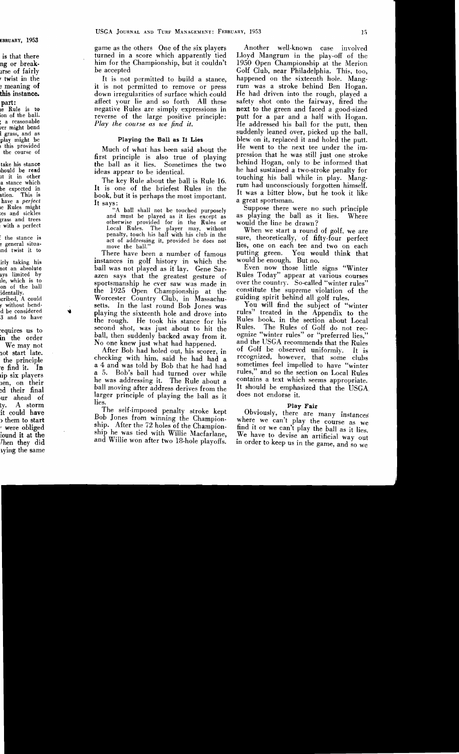game as the others One of the six players turned in a score which apparently tied him for the Championship, but it couldn't be accepted

It is not permitted to build a stance, it is not permitted to remove or press down irregularities of surface which could affect your lie and so forth All these negative Rules are simply expressions in reverse of the large positive principle: *Play the course as we find it.* 

## Playing the Ball as It Lies

Much of what has been said about the first principle is also true of playing the ball as it lies. Sometimes the two ideas appear to be identical.

The key Rule about the ball is Rule 16. It is one of the briefest Rules in the book, but it is perhaps the most important. It says:

"A ball shall not be touched purposely and must be played as it lies except as otherwise provided for in the Rules or Local Rules. The player may, without penalty, touch his ball with his club in the act of addressing it, provided he does not move the ball."

There have been a number of famous instances in golf history in which the ball was not played as it lay. Gene Sarazen says that the greatest gesture of sportsmanship he ever saw was made in the 1925 Open Championship at the Worcester Country Club, in Massachusetts. In the last round Bob Jones was playing the sixteenth hole and drove into the rough. He took his stance for his second shot, was just about to hit the ball, then suddenly backed away from it. No one knew just what had happened.

After Bob had holed out, his scorer, in checking with him, said he had had a a 4 and was told by Bob that he had had Bob's ball had turned over while he was addressing it. The Rule about a ball moving after address derives from the larger principle of playing the ball as it lies.

The self-imposed penalty stroke kept Bob Jones from winning the Championship. After the 72 holes of the Championship he was tied with Willie Macfarlane, and Willie won after two 18-hole playoffs:

Another well-known case involved Lloyd Mangrum in the play-off of the 1950 Open Championship at the Merion Golf Club, near Philadelphia. This, too, happened on the sixteenth hole. Mangrum was a stroke behind Ben Hogan. He had driven into the rough, played a safety shot onto the fairway, fired the next to the green and faced a good-sized putt for a par and a half with Hogan. He addressed his ball for the putt, then suddenly leaned over, picked up the ball, blew on it, replaced it and holed the putt. He went to the next tee under the impression that he was still just one stroke behind Hogan, only to be informed that he had sustained a two-stroke penalty for touching his ball while in play. Mangrum had unconsciously forgotten himself. It was a bitter blow, but he took it like a great sportsman.

Suppose there were no such principle as playing the ball as it lies. Where would the line be drawn?

When we start a round of golf, we are sure, theoretically, of fifty-four perfect lies, one on each tee and two on each putting green. You would think that would be enough. But no.

Even now those little signs "Winter Rules Today" appear at various courses over the country. So-called "winter rules" constitute the supreme violation of the guiding spirit behind all golf rules.

You will find the subject of "winter rules" treated in the Appendix to the Rules book, in the section about Local<br>Rules. The Rules of Golf do not rec-The Rules of Golf do not recognize "winter rules" or "preferred lies," and the USGA recommends that the Rules of Golf be observed uniformly. It is recognized, however, that some clubs sometimes feel impelled to have "winter rules," and so the section on Local Rules contains a text which seems appropriate. It should be emphasized that the USGA does not endorse it.

### Play Fair

Obviously, there are many instances where we can't play the course as we find it or we can't play the ball as it lies. We have to devise an artificial way out in order to keep us in the game, and so we